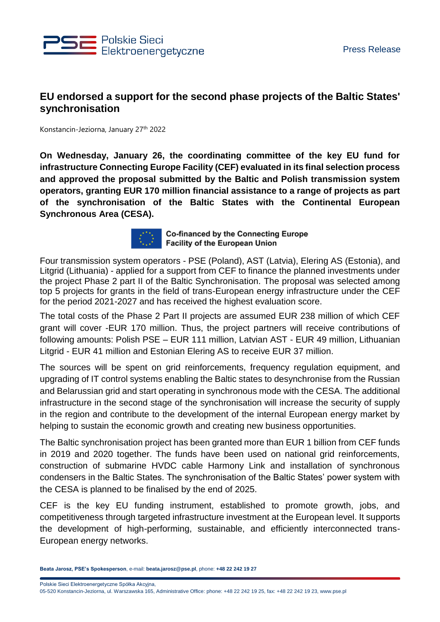

## **EU endorsed a support for the second phase projects of the Baltic States' synchronisation**

Konstancin-Jeziorna, January 27th 2022

**On Wednesday, January 26, the coordinating committee of the key EU fund for infrastructure Connecting Europe Facility (CEF) evaluated in its final selection process and approved the proposal submitted by the Baltic and Polish transmission system operators, granting EUR 170 million financial assistance to a range of projects as part of the synchronisation of the Baltic States with the Continental European Synchronous Area (CESA).**



**Co-financed by the Connecting Europe Facility of the European Union** 

Four transmission system operators - PSE (Poland), AST (Latvia), Elering AS (Estonia), and Litgrid (Lithuania) - applied for a support from CEF to finance the planned investments under the project Phase 2 part II of the Baltic Synchronisation. The proposal was selected among top 5 projects for grants in the field of trans-European energy infrastructure under the CEF for the period 2021-2027 and has received the highest evaluation score.

The total costs of the Phase 2 Part II projects are assumed EUR 238 million of which CEF grant will cover -EUR 170 million. Thus, the project partners will receive contributions of following amounts: Polish PSE – EUR 111 million, Latvian AST - EUR 49 million, Lithuanian Litgrid - EUR 41 million and Estonian Elering AS to receive EUR 37 million.

The sources will be spent on grid reinforcements, frequency regulation equipment, and upgrading of IT control systems enabling the Baltic states to desynchronise from the Russian and Belarussian grid and start operating in synchronous mode with the CESA. The additional infrastructure in the second stage of the synchronisation will increase the security of supply in the region and contribute to the development of the internal European energy market by helping to sustain the economic growth and creating new business opportunities.

The Baltic synchronisation project has been granted more than EUR 1 billion from CEF funds in 2019 and 2020 together. The funds have been used on national grid reinforcements, construction of submarine HVDC cable Harmony Link and installation of synchronous condensers in the Baltic States. The synchronisation of the Baltic States' power system with the CESA is planned to be finalised by the end of 2025.

CEF is the key EU funding instrument, established to promote growth, jobs, and competitiveness through targeted infrastructure investment at the European level. It supports the development of high-performing, sustainable, and efficiently interconnected trans-European energy networks.

**Beata Jarosz, PSE's Spokesperson**, e-mail: **beata.jarosz@pse.pl**, phone: **+48 22 242 19 27**

Polskie Sieci Elektroenergetyczne Spółka Akcyjna,

05-520 Konstancin-Jeziorna, ul. Warszawska 165, Administrative Office: phone: +48 22 242 19 25, fax: +48 22 242 19 23, www.pse.pl